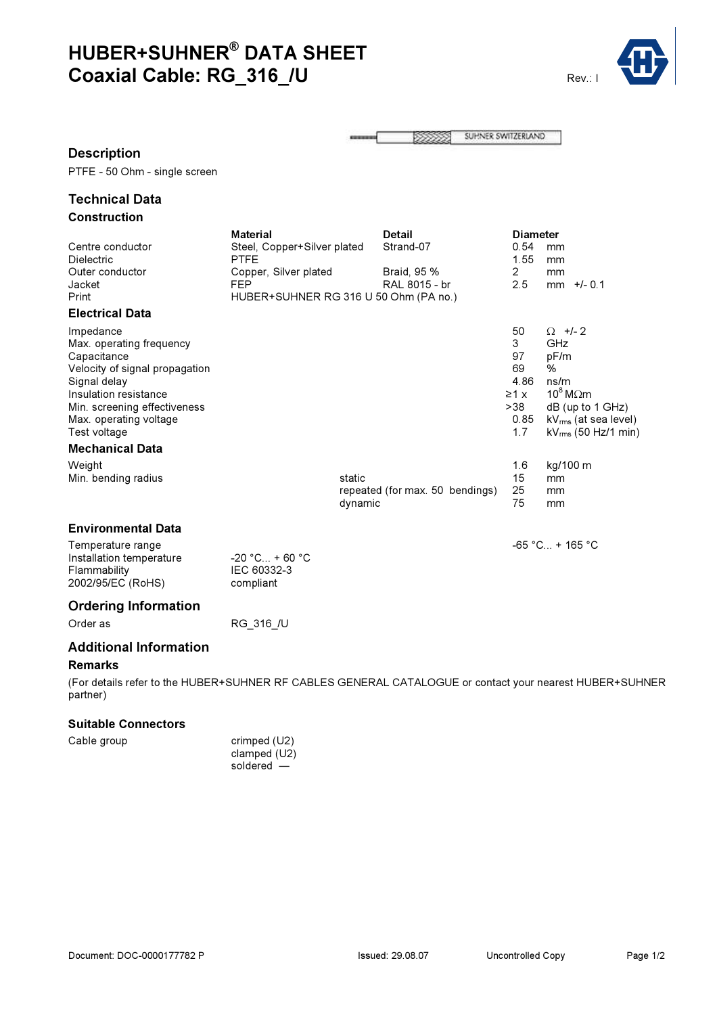# HUBER+SUHNER® DATA SHEET Coaxial Cable: RG\_316\_/U Rev.: I



|  | 55555 | SUHNER SWITZERLAND |
|--|-------|--------------------|
|--|-------|--------------------|

#### Description

PTFE - 50 Ohm - single screen

### Technical Data Construction

|                                                               | <b>Material</b>                       |         | <b>Detail</b>                   |  | <b>Diameter</b> |                               |
|---------------------------------------------------------------|---------------------------------------|---------|---------------------------------|--|-----------------|-------------------------------|
| Centre conductor                                              | Steel, Copper+Silver plated           |         | Strand-07                       |  | 0.54            | mm                            |
| Dielectric                                                    | <b>PTFE</b>                           |         |                                 |  | 1.55            | mm                            |
| Outer conductor                                               | Copper, Silver plated                 |         | Braid, 95 %                     |  | $\mathbf{2}$    | mm                            |
| Jacket                                                        | <b>FEP</b>                            |         | RAL 8015 - br                   |  | 2.5             | $+/- 0.1$<br>mm               |
| Print                                                         | HUBER+SUHNER RG 316 U 50 Ohm (PA no.) |         |                                 |  |                 |                               |
| <b>Electrical Data</b>                                        |                                       |         |                                 |  |                 |                               |
| Impedance                                                     |                                       |         |                                 |  | 50              | $\Omega$ +/- 2                |
| Max. operating frequency                                      |                                       |         |                                 |  | 3               | GHz                           |
| Capacitance                                                   |                                       |         |                                 |  | 97              | pF/m                          |
| Velocity of signal propagation                                |                                       |         |                                 |  | 69              | %                             |
| Signal delay                                                  |                                       |         |                                 |  | 4.86            | ns/m                          |
| Insulation resistance                                         |                                       |         |                                 |  | $\geq 1$ x      | $10^8$ M $\Omega$ m           |
| Min. screening effectiveness                                  |                                       |         |                                 |  | >38             | $dB$ (up to 1 GHz)            |
| Max. operating voltage                                        |                                       |         |                                 |  | 0.85            | $\rm kV_{rms}$ (at sea level) |
| Test voltage                                                  |                                       |         |                                 |  | 1.7             | $kV_{rms}$ (50 Hz/1 min)      |
| <b>Mechanical Data</b>                                        |                                       |         |                                 |  |                 |                               |
| Weight                                                        |                                       |         |                                 |  | 1.6             | kg/100 m                      |
| Min. bending radius                                           |                                       | static  |                                 |  | 15              | mm                            |
|                                                               |                                       |         | repeated (for max. 50 bendings) |  | 25              | mm                            |
|                                                               |                                       | dynamic |                                 |  | 75              | mm                            |
| <b>Environmental Data</b>                                     |                                       |         |                                 |  |                 |                               |
|                                                               |                                       |         |                                 |  |                 |                               |
| Temperature range<br>Installation temperature<br>Flammability | $-20 °C_{} + 60 °C$<br>IEC 60332-3    |         |                                 |  |                 | $-65 °C_{} + 165 °C$          |
| 2002/95/EC (RoHS)                                             | compliant                             |         |                                 |  |                 |                               |

## Ordering Information

Order as RG\_316\_/U

### Additional Information

#### Remarks

(For details refer to the HUBER+SUHNER RF CABLES GENERAL CATALOGUE or contact your nearest HUBER+SUHNER partner)

#### Suitable Connectors

| Cable group |  |
|-------------|--|
|-------------|--|

crimped (U2) clamped (U2) soldered —